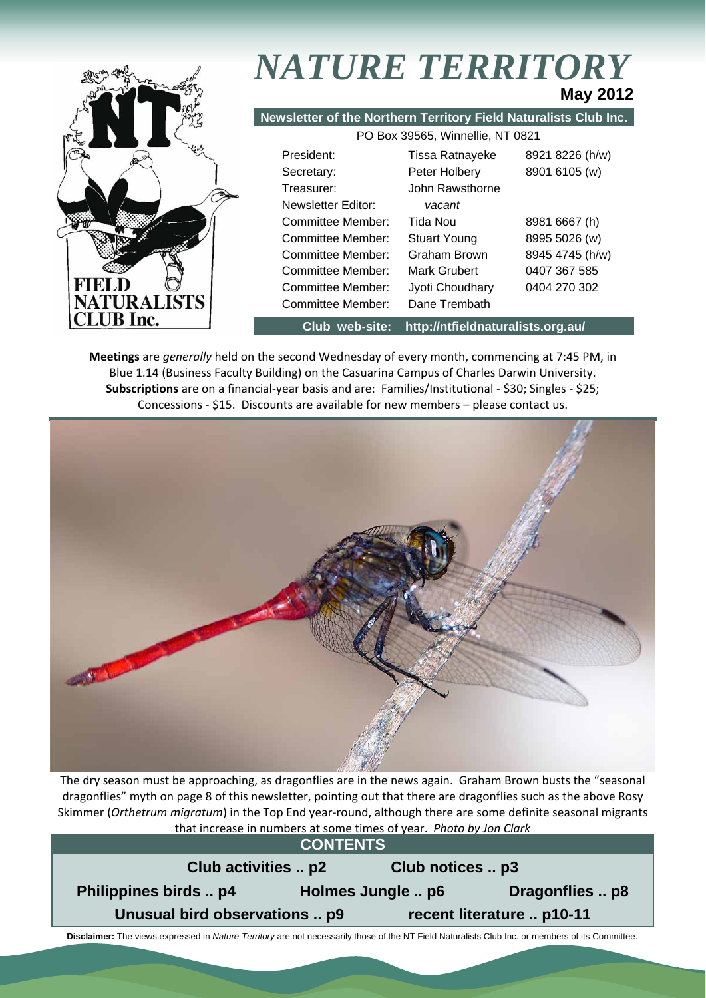

# *NATURE TERRITORY* **May 2012**

**Newsletter of the Northern Territory Field Naturalists Club Inc.**

|        | 8921 8226 (h/w)                                                                                                                                            |
|--------|------------------------------------------------------------------------------------------------------------------------------------------------------------|
|        | 8901 6105 (w)                                                                                                                                              |
|        |                                                                                                                                                            |
| vacant |                                                                                                                                                            |
|        | 8981 6667 (h)                                                                                                                                              |
|        | 8995 5026 (w)                                                                                                                                              |
|        | 8945 4745 (h/w)                                                                                                                                            |
|        | 0407 367 585                                                                                                                                               |
|        | 0404 270 302                                                                                                                                               |
|        |                                                                                                                                                            |
|        | Tissa Ratnayeke<br>Peter Holbery<br>John Rawsthorne<br>Tida Nou<br><b>Stuart Young</b><br>Graham Brown<br>Mark Grubert<br>Jyoti Choudhary<br>Dane Trembath |

**Club web-site: http://ntfieldnaturalists.org.au/** 

**Meetings** are *generally* held on the second Wednesday of every month, commencing at 7:45 PM, in Blue 1.14 (Business Faculty Building) on the Casuarina Campus of Charles Darwin University. **Subscriptions** are on a financial‐year basis and are: Families/Institutional ‐ \$30; Singles ‐ \$25; Concessions ‐ \$15. Discounts are available for new members – please contact us.



The dry season must be approaching, as dragonflies are in the news again. Graham Brown busts the "seasonal dragonflies" myth on page 8 of this newsletter, pointing out that there are dragonflies such as the above Rosy Skimmer (*Orthetrum migratum*) in the Top End year‐round, although there are some definite seasonal migrants that increase in numbers at some times of year. *Photo by Jon Clark*

| <b>CONTENTS</b>                                            |                   |  |                 |  |  |
|------------------------------------------------------------|-------------------|--|-----------------|--|--|
| Club activities  p2<br>Club notices  p3                    |                   |  |                 |  |  |
| Philippines birds  p4                                      | Holmes Jungle  p6 |  | Dragonflies  p8 |  |  |
| Unusual bird observations  p9<br>recent literature  p10-11 |                   |  |                 |  |  |
|                                                            |                   |  |                 |  |  |

 **Disclaimer:** The views expressed in *Nature Territory* are not necessarily those of the NT Field Naturalists Club Inc. or members of its Committee.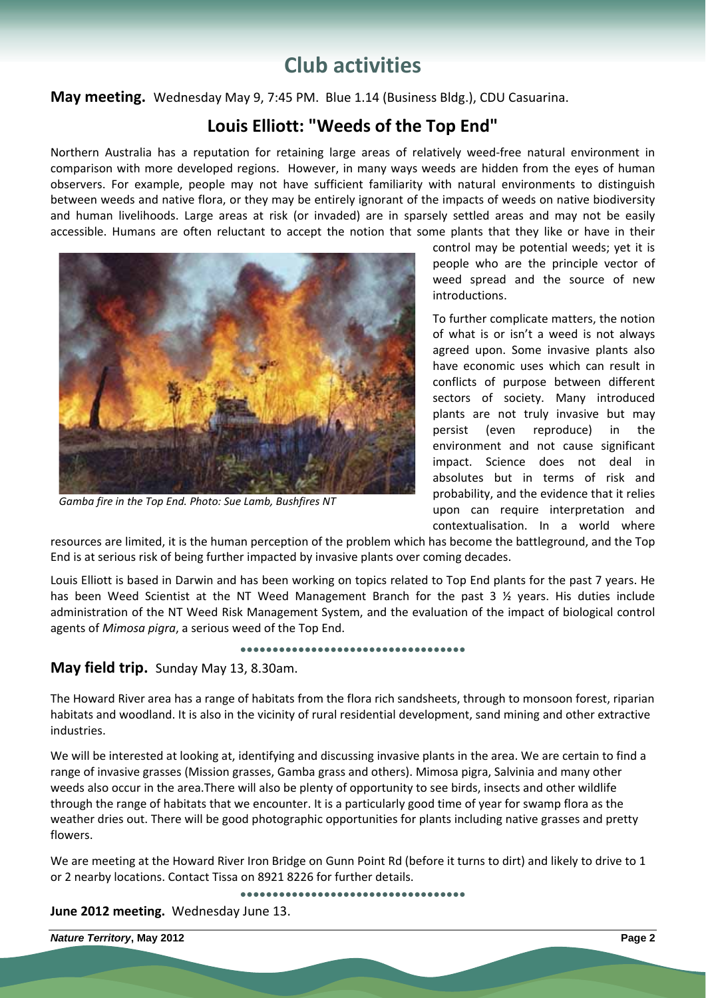# **Club activities**

**May meeting.** Wednesday May 9, 7:45 PM. Blue 1.14 (Business Bldg.), CDU Casuarina.

# **Louis Elliott: "Weeds of the Top End"**

Northern Australia has a reputation for retaining large areas of relatively weed‐free natural environment in comparison with more developed regions. However, in many ways weeds are hidden from the eyes of human observers. For example, people may not have sufficient familiarity with natural environments to distinguish between weeds and native flora, or they may be entirely ignorant of the impacts of weeds on native biodiversity and human livelihoods. Large areas at risk (or invaded) are in sparsely settled areas and may not be easily accessible. Humans are often reluctant to accept the notion that some plants that they like or have in their



*Gamba fire in the Top End. Photo: Sue Lamb, Bushfires NT*

control may be potential weeds; yet it is people who are the principle vector of weed spread and the source of new introductions.

To further complicate matters, the notion of what is or isn't a weed is not always agreed upon. Some invasive plants also have economic uses which can result in conflicts of purpose between different sectors of society. Many introduced plants are not truly invasive but may persist (even reproduce) in the environment and not cause significant impact. Science does not deal in absolutes but in terms of risk and probability, and the evidence that it relies upon can require interpretation and contextualisation. In a world where

resources are limited, it is the human perception of the problem which has become the battleground, and the Top End is at serious risk of being further impacted by invasive plants over coming decades.

Louis Elliott is based in Darwin and has been working on topics related to Top End plants for the past 7 years. He has been Weed Scientist at the NT Weed Management Branch for the past 3  $\frac{1}{2}$  years. His duties include administration of the NT Weed Risk Management System, and the evaluation of the impact of biological control agents of *Mimosa pigra*, a serious weed of the Top End.

**●●●●●●●●●●●●●●●●●●●●●●●●●●●●●●●●●●●** 

# **May field trip.** Sunday May 13, 8.30am.

The Howard River area has a range of habitats from the flora rich sandsheets, through to monsoon forest, riparian habitats and woodland. It is also in the vicinity of rural residential development, sand mining and other extractive industries.

We will be interested at looking at, identifying and discussing invasive plants in the area. We are certain to find a range of invasive grasses (Mission grasses, Gamba grass and others). Mimosa pigra, Salvinia and many other weeds also occur in the area.There will also be plenty of opportunity to see birds, insects and other wildlife through the range of habitats that we encounter. It is a particularly good time of year for swamp flora as the weather dries out. There will be good photographic opportunities for plants including native grasses and pretty flowers.

We are meeting at the Howard River Iron Bridge on Gunn Point Rd (before it turns to dirt) and likely to drive to 1 or 2 nearby locations. Contact Tissa on 8921 8226 for further details.

**●●●●●●●●●●●●●●●●●●●●●●●●●●●●●●●●●●●** 

**June 2012 meeting.** Wednesday June 13.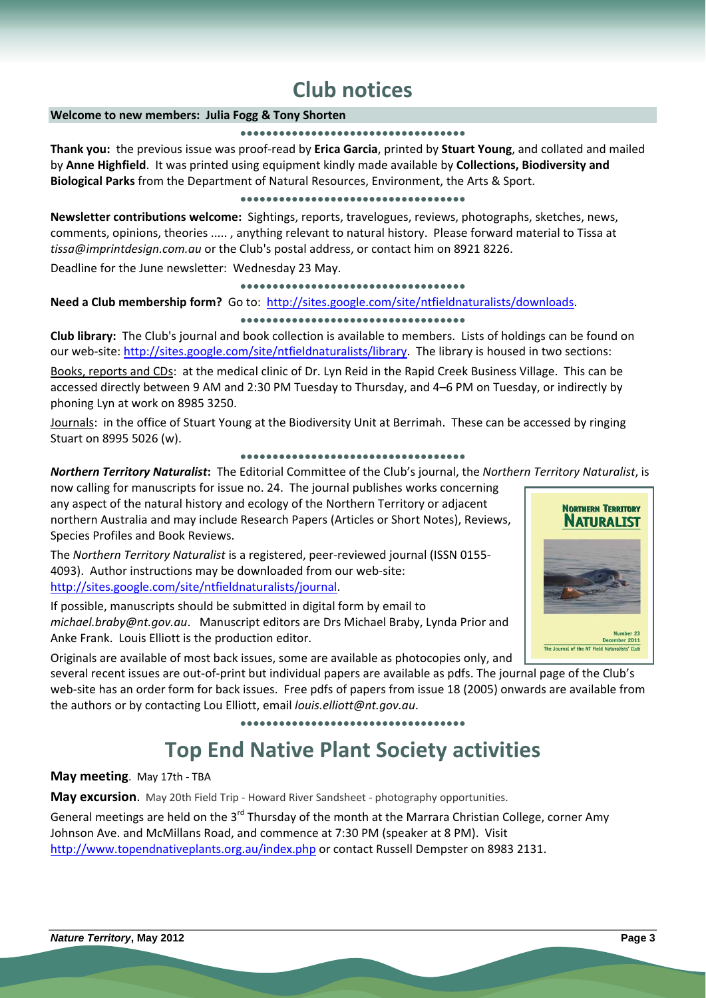# **Club notices**

# **Welcome to new members: Julia Fogg & Tony Shorten**

#### **●●●●●●●●●●●●●●●●●●●●●●●●●●●●●●●●●●●**

**Thank you:** the previous issue was proof‐read by **Erica Garcia**, printed by **Stuart Young**, and collated and mailed by **Anne Highfield**. It was printed using equipment kindly made available by **Collections, Biodiversity and Biological Parks** from the Department of Natural Resources, Environment, the Arts & Sport.

#### **●●●●●●●●●●●●●●●●●●●●●●●●●●●●●●●●●●●**

**Newsletter contributions welcome:** Sightings, reports, travelogues, reviews, photographs, sketches, news, comments, opinions, theories ..... , anything relevant to natural history. Please forward material to Tissa at *tissa@imprintdesign.com.au* or the Club's postal address, or contact him on 8921 8226.

Deadline for the June newsletter: Wednesday 23 May.

## **●●●●●●●●●●●●●●●●●●●●●●●●●●●●●●●●●●●**

**Need a Club membership form?** Go to: http://sites.google.com/site/ntfieldnaturalists/downloads.

# **●●●●●●●●●●●●●●●●●●●●●●●●●●●●●●●●●●●**

**Club library:** The Club's journal and book collection is available to members. Lists of holdings can be found on our web-site: http://sites.google.com/site/ntfieldnaturalists/library. The library is housed in two sections:

Books, reports and CDs: at the medical clinic of Dr. Lyn Reid in the Rapid Creek Business Village. This can be accessed directly between 9 AM and 2:30 PM Tuesday to Thursday, and 4–6 PM on Tuesday, or indirectly by phoning Lyn at work on 8985 3250.

Journals: in the office of Stuart Young at the Biodiversity Unit at Berrimah. These can be accessed by ringing Stuart on 8995 5026 (w).

#### **●●●●●●●●●●●●●●●●●●●●●●●●●●●●●●●●●●●**

*Northern Territory Naturalist***:** The Editorial Committee of the Club's journal, the *Northern Territory Naturalist*, is

now calling for manuscripts for issue no. 24. The journal publishes works concerning any aspect of the natural history and ecology of the Northern Territory or adjacent northern Australia and may include Research Papers (Articles or Short Notes), Reviews, Species Profiles and Book Reviews.

The *Northern Territory Naturalist* is a registered, peer‐reviewed journal (ISSN 0155‐ 4093). Author instructions may be downloaded from our web‐site: http://sites.google.com/site/ntfieldnaturalists/journal.

If possible, manuscripts should be submitted in digital form by email to *michael.braby@nt.gov.au*. Manuscript editors are Drs Michael Braby, Lynda Prior and Anke Frank. Louis Elliott is the production editor.

Originals are available of most back issues, some are available as photocopies only, and

several recent issues are out-of-print but individual papers are available as pdfs. The journal page of the Club's web-site has an order form for back issues. Free pdfs of papers from issue 18 (2005) onwards are available from the authors or by contacting Lou Elliott, email *louis.elliott@nt.gov.au*.

#### **●●●●●●●●●●●●●●●●●●●●●●●●●●●●●●●●●●●**

# **Top End Native Plant Society activities**

**May meeting**. May 17th ‐ TBA

**May excursion**. May 20th Field Trip ‐ Howard River Sandsheet ‐ photography opportunities.

General meetings are held on the  $3^{rd}$  Thursday of the month at the Marrara Christian College, corner Amy Johnson Ave. and McMillans Road, and commence at 7:30 PM (speaker at 8 PM). Visit http://www.topendnativeplants.org.au/index.php or contact Russell Dempster on 8983 2131.

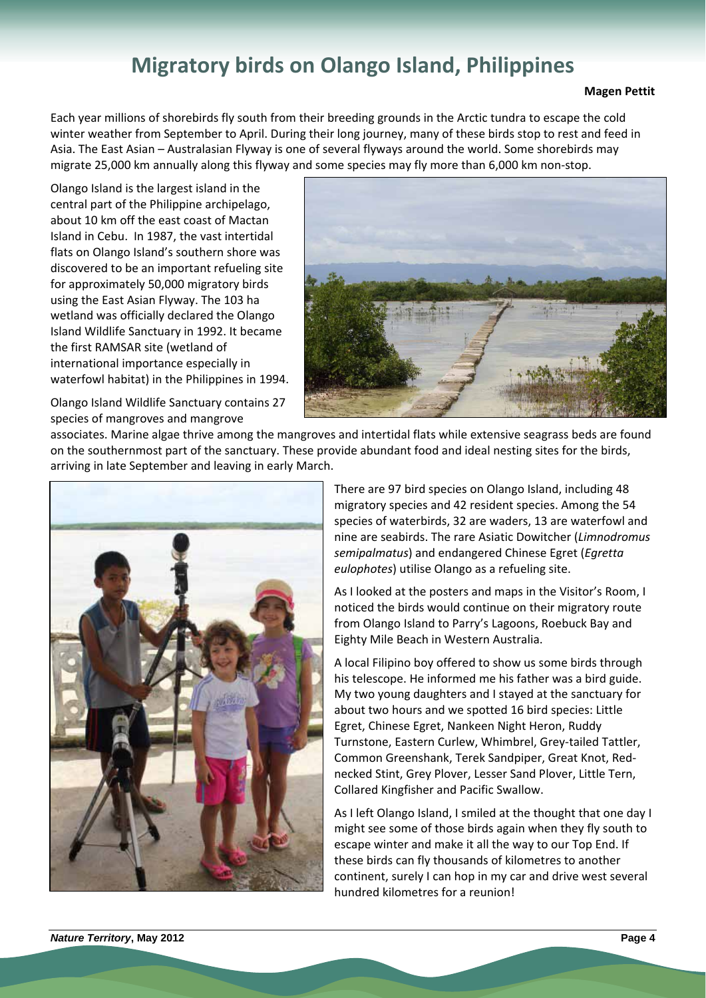# **Migratory birds on Olango Island, Philippines**

### **Magen Pettit**

Each year millions of shorebirds fly south from their breeding grounds in the Arctic tundra to escape the cold winter weather from September to April. During their long journey, many of these birds stop to rest and feed in Asia. The East Asian – Australasian Flyway is one of several flyways around the world. Some shorebirds may migrate 25,000 km annually along this flyway and some species may fly more than 6,000 km non‐stop.

Olango Island is the largest island in the central part of the Philippine archipelago, about 10 km off the east coast of Mactan Island in Cebu. In 1987, the vast intertidal flats on Olango Island's southern shore was discovered to be an important refueling site for approximately 50,000 migratory birds using the East Asian Flyway. The 103 ha wetland was officially declared the Olango Island Wildlife Sanctuary in 1992. It became the first RAMSAR site (wetland of international importance especially in waterfowl habitat) in the Philippines in 1994.



Olango Island Wildlife Sanctuary contains 27 species of mangroves and mangrove

associates. Marine algae thrive among the mangroves and intertidal flats while extensive seagrass beds are found on the southernmost part of the sanctuary. These provide abundant food and ideal nesting sites for the birds, arriving in late September and leaving in early March.



There are 97 bird species on Olango Island, including 48 migratory species and 42 resident species. Among the 54 species of waterbirds, 32 are waders, 13 are waterfowl and nine are seabirds. The rare Asiatic Dowitcher (*Limnodromus semipalmatus*) and endangered Chinese Egret (*Egretta eulophotes*) utilise Olango as a refueling site.

As I looked at the posters and maps in the Visitor's Room, I noticed the birds would continue on their migratory route from Olango Island to Parry's Lagoons, Roebuck Bay and Eighty Mile Beach in Western Australia.

A local Filipino boy offered to show us some birds through his telescope. He informed me his father was a bird guide. My two young daughters and I stayed at the sanctuary for about two hours and we spotted 16 bird species: Little Egret, Chinese Egret, Nankeen Night Heron, Ruddy Turnstone, Eastern Curlew, Whimbrel, Grey‐tailed Tattler, Common Greenshank, Terek Sandpiper, Great Knot, Red‐ necked Stint, Grey Plover, Lesser Sand Plover, Little Tern, Collared Kingfisher and Pacific Swallow.

As I left Olango Island, I smiled at the thought that one day I might see some of those birds again when they fly south to escape winter and make it all the way to our Top End. If these birds can fly thousands of kilometres to another continent, surely I can hop in my car and drive west several hundred kilometres for a reunion!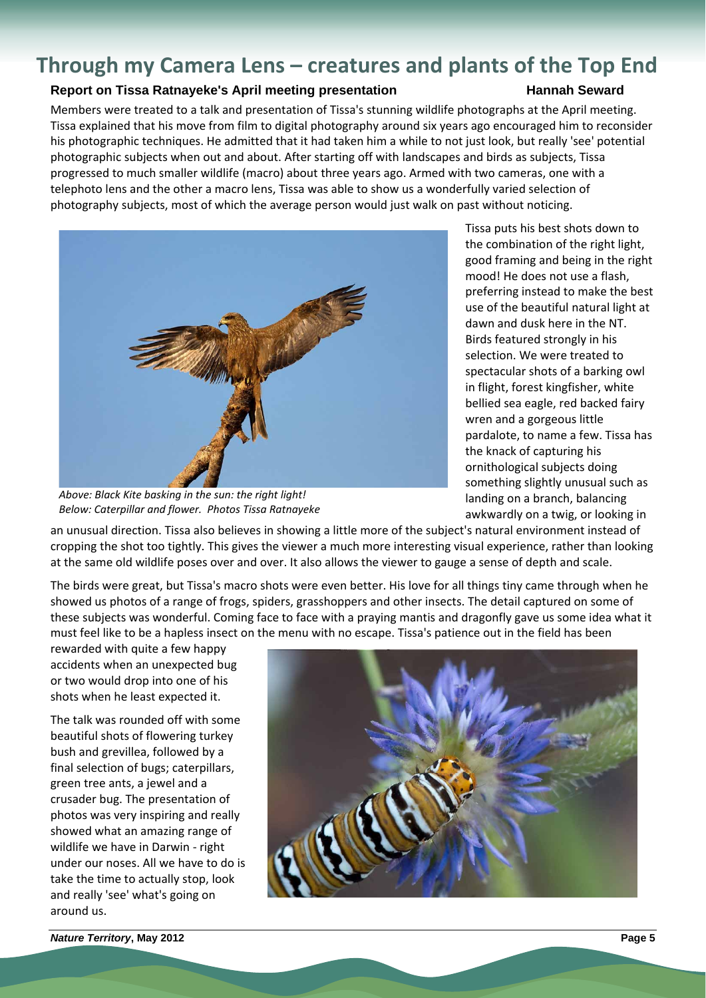# **Through my Camera Lens – creatures and plants of the Top End**

# **Report on Tissa Ratnayeke's April meeting presentation Frame Constructs Hannah Seward**

Members were treated to a talk and presentation of Tissa's stunning wildlife photographs at the April meeting. Tissa explained that his move from film to digital photography around six years ago encouraged him to reconsider his photographic techniques. He admitted that it had taken him a while to not just look, but really 'see' potential photographic subjects when out and about. After starting off with landscapes and birds as subjects, Tissa progressed to much smaller wildlife (macro) about three years ago. Armed with two cameras, one with a telephoto lens and the other a macro lens, Tissa was able to show us a wonderfully varied selection of photography subjects, most of which the average person would just walk on past without noticing.



*Above: Black Kite basking in the sun: the right light! Below: Caterpillar and flower. Photos Tissa Ratnayeke*

Tissa puts his best shots down to the combination of the right light, good framing and being in the right mood! He does not use a flash, preferring instead to make the best use of the beautiful natural light at dawn and dusk here in the NT. Birds featured strongly in his selection. We were treated to spectacular shots of a barking owl in flight, forest kingfisher, white bellied sea eagle, red backed fairy wren and a gorgeous little pardalote, to name a few. Tissa has the knack of capturing his ornithological subjects doing something slightly unusual such as landing on a branch, balancing awkwardly on a twig, or looking in

an unusual direction. Tissa also believes in showing a little more of the subject's natural environment instead of cropping the shot too tightly. This gives the viewer a much more interesting visual experience, rather than looking at the same old wildlife poses over and over. It also allows the viewer to gauge a sense of depth and scale.

The birds were great, but Tissa's macro shots were even better. His love for all things tiny came through when he showed us photos of a range of frogs, spiders, grasshoppers and other insects. The detail captured on some of these subjects was wonderful. Coming face to face with a praying mantis and dragonfly gave us some idea what it must feel like to be a hapless insect on the menu with no escape. Tissa's patience out in the field has been

rewarded with quite a few happy accidents when an unexpected bug or two would drop into one of his shots when he least expected it.

The talk was rounded off with some beautiful shots of flowering turkey bush and grevillea, followed by a final selection of bugs; caterpillars, green tree ants, a jewel and a crusader bug. The presentation of photos was very inspiring and really showed what an amazing range of wildlife we have in Darwin ‐ right under our noses. All we have to do is take the time to actually stop, look and really 'see' what's going on around us.

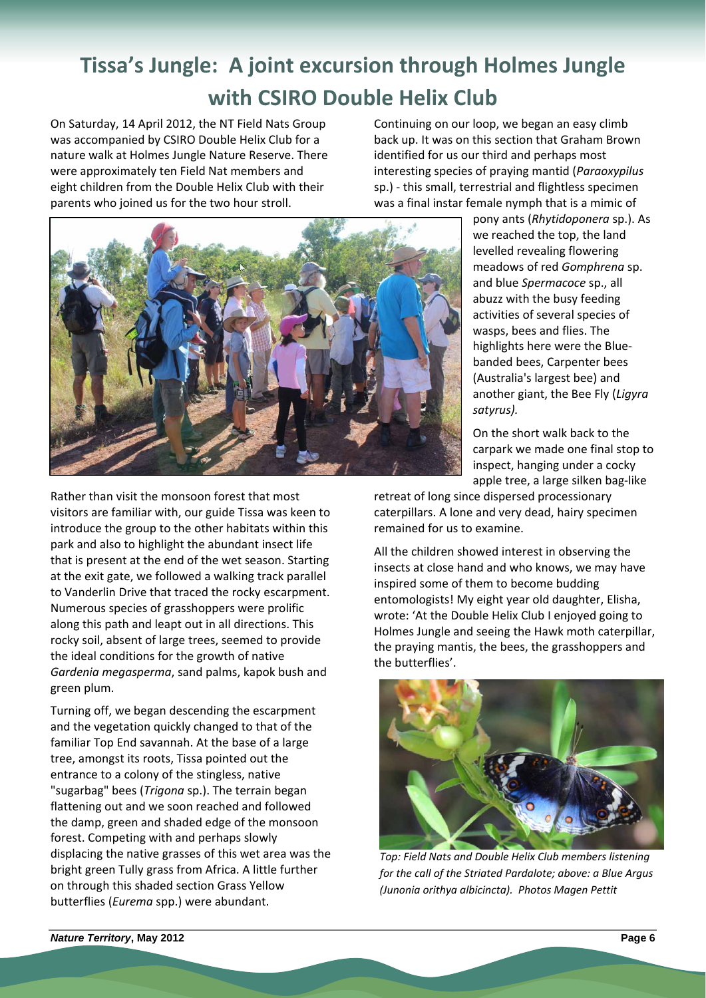# **Tissa's Jungle: A joint excursion through Holmes Jungle with CSIRO Double Helix Club**

On Saturday, 14 April 2012, the NT Field Nats Group was accompanied by CSIRO Double Helix Club for a nature walk at Holmes Jungle Nature Reserve. There were approximately ten Field Nat members and eight children from the Double Helix Club with their parents who joined us for the two hour stroll.

Continuing on our loop, we began an easy climb back up. It was on this section that Graham Brown identified for us our third and perhaps most interesting species of praying mantid (*Paraoxypilus* sp.) ‐ this small, terrestrial and flightless specimen was a final instar female nymph that is a mimic of



Rather than visit the monsoon forest that most visitors are familiar with, our guide Tissa was keen to introduce the group to the other habitats within this park and also to highlight the abundant insect life that is present at the end of the wet season. Starting at the exit gate, we followed a walking track parallel to Vanderlin Drive that traced the rocky escarpment. Numerous species of grasshoppers were prolific along this path and leapt out in all directions. This rocky soil, absent of large trees, seemed to provide the ideal conditions for the growth of native *Gardenia megasperma*, sand palms, kapok bush and green plum.

Turning off, we began descending the escarpment and the vegetation quickly changed to that of the familiar Top End savannah. At the base of a large tree, amongst its roots, Tissa pointed out the entrance to a colony of the stingless, native "sugarbag" bees (*Trigona* sp.). The terrain began flattening out and we soon reached and followed the damp, green and shaded edge of the monsoon forest. Competing with and perhaps slowly displacing the native grasses of this wet area was the bright green Tully grass from Africa. A little further on through this shaded section Grass Yellow butterflies (*Eurema* spp.) were abundant.

pony ants (*Rhytidoponera* sp.). As we reached the top, the land levelled revealing flowering meadows of red *Gomphrena* sp. and blue *Spermacoce* sp., all abuzz with the busy feeding activities of several species of wasps, bees and flies. The highlights here were the Blue‐ banded bees, Carpenter bees (Australia's largest bee) and another giant, the Bee Fly (*Ligyra satyrus).*

On the short walk back to the carpark we made one final stop to inspect, hanging under a cocky apple tree, a large silken bag‐like

retreat of long since dispersed processionary caterpillars. A lone and very dead, hairy specimen remained for us to examine.

All the children showed interest in observing the insects at close hand and who knows, we may have inspired some of them to become budding entomologists! My eight year old daughter, Elisha, wrote: 'At the Double Helix Club I enjoyed going to Holmes Jungle and seeing the Hawk moth caterpillar, the praying mantis, the bees, the grasshoppers and the butterflies'.



*Top: Field Nats and Double Helix Club members listening for the call of the Striated Pardalote; above: a Blue Argus (Junonia orithya albicincta). Photos Magen Pettit*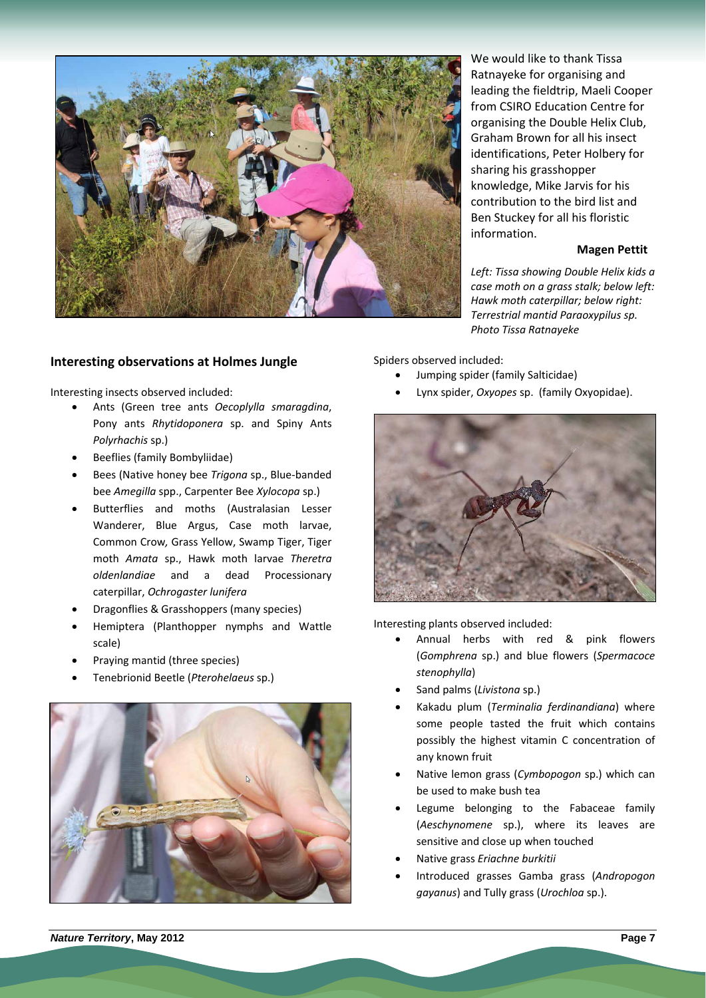

**Interesting observations at Holmes Jungle**

Interesting insects observed included:

- Ants (Green tree ants *Oecoplylla smaragdina*, Pony ants *Rhytidoponera* sp. and Spiny Ants *Polyrhachis* sp.)
- Beeflies (family Bombyliidae)
- Bees (Native honey bee *Trigona* sp., Blue‐banded bee *Amegilla* spp., Carpenter Bee *Xylocopa* sp.)
- Butterflies and moths (Australasian Lesser Wanderer, Blue Argus, Case moth larvae, Common Crow*,* Grass Yellow, Swamp Tiger, Tiger moth *Amata* sp., Hawk moth larvae *Theretra oldenlandiae* and a dead Processionary caterpillar, *Ochrogaster lunifera*
- Dragonflies & Grasshoppers (many species)
- Hemiptera (Planthopper nymphs and Wattle scale)
- Praying mantid (three species)
- Tenebrionid Beetle (*Pterohelaeus* sp.)



We would like to thank Tissa Ratnayeke for organising and leading the fieldtrip, Maeli Cooper from CSIRO Education Centre for organising the Double Helix Club, Graham Brown for all his insect identifications, Peter Holbery for sharing his grasshopper knowledge, Mike Jarvis for his contribution to the bird list and Ben Stuckey for all his floristic information.

# **Magen Pettit**

*Left: Tissa showing Double Helix kids a case moth on a grass stalk; below left: Hawk moth caterpillar; below right: Terrestrial mantid Paraoxypilus sp. Photo Tissa Ratnayeke*

Spiders observed included:

- Jumping spider (family Salticidae)
- Lynx spider, *Oxyopes* sp. (family Oxyopidae).



Interesting plants observed included:

- Annual herbs with red & pink flowers (*Gomphrena* sp.) and blue flowers (*Spermacoce stenophylla*)
- Sand palms (*Livistona* sp.)
- Kakadu plum (*Terminalia ferdinandiana*) where some people tasted the fruit which contains possibly the highest vitamin C concentration of any known fruit
- Native lemon grass (*Cymbopogon* sp.) which can be used to make bush tea
- Legume belonging to the Fabaceae family (*Aeschynomene* sp.), where its leaves are sensitive and close up when touched
- Native grass *Eriachne burkitii*
- Introduced grasses Gamba grass (*Andropogon gayanus*) and Tully grass (*Urochloa* sp.).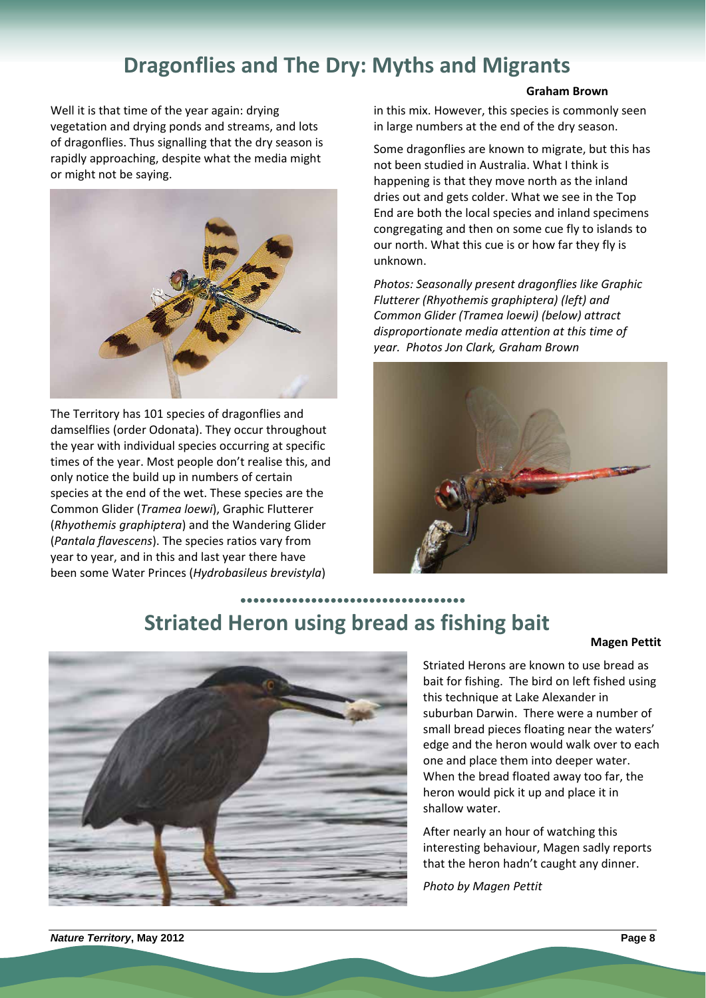# **Dragonflies and The Dry: Myths and Migrants**

Well it is that time of the year again: drying vegetation and drying ponds and streams, and lots of dragonflies. Thus signalling that the dry season is rapidly approaching, despite what the media might or might not be saying.



The Territory has 101 species of dragonflies and damselflies (order Odonata). They occur throughout the year with individual species occurring at specific times of the year. Most people don't realise this, and only notice the build up in numbers of certain species at the end of the wet. These species are the Common Glider (*Tramea loewi*), Graphic Flutterer (*Rhyothemis graphiptera*) and the Wandering Glider (*Pantala flavescens*). The species ratios vary from year to year, and in this and last year there have been some Water Princes (*Hydrobasileus brevistyla*)

## **Graham Brown**

in this mix. However, this species is commonly seen in large numbers at the end of the dry season.

Some dragonflies are known to migrate, but this has not been studied in Australia. What I think is happening is that they move north as the inland dries out and gets colder. What we see in the Top End are both the local species and inland specimens congregating and then on some cue fly to islands to our north. What this cue is or how far they fly is unknown.

*Photos: Seasonally present dragonflies like Graphic Flutterer (Rhyothemis graphiptera) (left) and Common Glider (Tramea loewi) (below) attract disproportionate media attention at this time of year. Photos Jon Clark, Graham Brown*



# **●●●●●●●●●●●●●●●●●●●●●●●●●●●●●●●●●●● Striated Heron using bread as fishing bait**

#### **Magen Pettit**



Striated Herons are known to use bread as bait for fishing. The bird on left fished using this technique at Lake Alexander in suburban Darwin. There were a number of small bread pieces floating near the waters' edge and the heron would walk over to each one and place them into deeper water. When the bread floated away too far, the heron would pick it up and place it in shallow water.

After nearly an hour of watching this interesting behaviour, Magen sadly reports that the heron hadn't caught any dinner.

*Photo by Magen Pettit*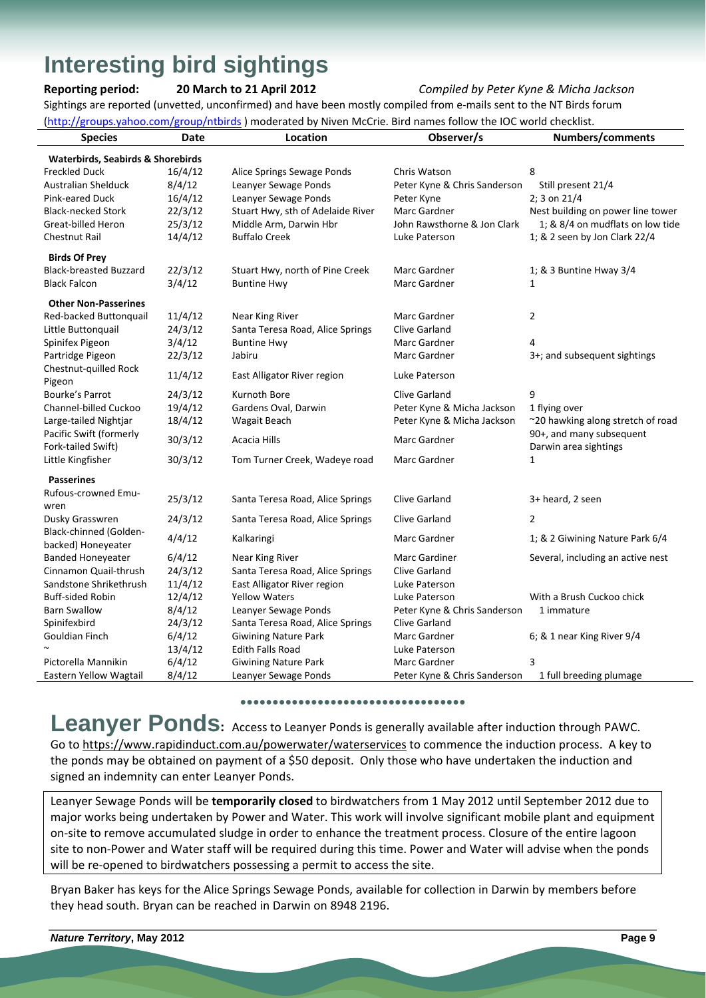# **Interesting bird sightings**

# **Reporting period: 20 March to 21 April 2012** *Compiled by Peter Kyne & Micha Jackson*

Sightings are reported (unvetted, unconfirmed) and have been mostly compiled from e‐mails sent to the NT Birds forum  $h(x)$ hoo.com/groups.intbirds ) moderated by Niven McCrie. Bird names follow the IOC world checklist.

| <u>(http://groups.yahoo.com/group/ntbirds</u> ) moderated by Niven McCrie. Bird hames follow the IOC world checklist. |         |                                   |                              |                                   |  |  |
|-----------------------------------------------------------------------------------------------------------------------|---------|-----------------------------------|------------------------------|-----------------------------------|--|--|
| <b>Species</b>                                                                                                        | Date    | Location                          | Observer/s                   | <b>Numbers/comments</b>           |  |  |
| <b>Waterbirds, Seabirds &amp; Shorebirds</b>                                                                          |         |                                   |                              |                                   |  |  |
| <b>Freckled Duck</b>                                                                                                  | 16/4/12 | Alice Springs Sewage Ponds        | Chris Watson                 | 8                                 |  |  |
| <b>Australian Shelduck</b>                                                                                            | 8/4/12  | Leanyer Sewage Ponds              | Peter Kyne & Chris Sanderson | Still present 21/4                |  |  |
| Pink-eared Duck                                                                                                       | 16/4/12 | Leanyer Sewage Ponds              | Peter Kyne                   | 2; 3 on 21/4                      |  |  |
| <b>Black-necked Stork</b>                                                                                             | 22/3/12 | Stuart Hwy, sth of Adelaide River | Marc Gardner                 | Nest building on power line tower |  |  |
| Great-billed Heron                                                                                                    | 25/3/12 | Middle Arm, Darwin Hbr            | John Rawsthorne & Jon Clark  | 1; & 8/4 on mudflats on low tide  |  |  |
| <b>Chestnut Rail</b>                                                                                                  | 14/4/12 | <b>Buffalo Creek</b>              | Luke Paterson                | 1; & 2 seen by Jon Clark 22/4     |  |  |
| <b>Birds Of Prey</b>                                                                                                  |         |                                   |                              |                                   |  |  |
| <b>Black-breasted Buzzard</b>                                                                                         | 22/3/12 | Stuart Hwy, north of Pine Creek   | Marc Gardner                 | 1; & 3 Buntine Hway 3/4           |  |  |
| <b>Black Falcon</b>                                                                                                   | 3/4/12  | <b>Buntine Hwy</b>                | Marc Gardner                 | $\mathbf{1}$                      |  |  |
| <b>Other Non-Passerines</b>                                                                                           |         |                                   |                              |                                   |  |  |
| Red-backed Buttonquail                                                                                                | 11/4/12 | Near King River                   | Marc Gardner                 | $\overline{2}$                    |  |  |
| Little Buttonquail                                                                                                    | 24/3/12 | Santa Teresa Road, Alice Springs  | Clive Garland                |                                   |  |  |
| Spinifex Pigeon                                                                                                       | 3/4/12  | <b>Buntine Hwy</b>                | Marc Gardner                 | 4                                 |  |  |
| Partridge Pigeon                                                                                                      | 22/3/12 | Jabiru                            | Marc Gardner                 | 3+; and subsequent sightings      |  |  |
| Chestnut-quilled Rock<br>Pigeon                                                                                       | 11/4/12 | East Alligator River region       | Luke Paterson                |                                   |  |  |
| Bourke's Parrot                                                                                                       | 24/3/12 | Kurnoth Bore                      | Clive Garland                | 9                                 |  |  |
| Channel-billed Cuckoo                                                                                                 | 19/4/12 | Gardens Oval, Darwin              | Peter Kyne & Micha Jackson   | 1 flying over                     |  |  |
| Large-tailed Nightjar                                                                                                 | 18/4/12 | Wagait Beach                      | Peter Kyne & Micha Jackson   | ~20 hawking along stretch of road |  |  |
| Pacific Swift (formerly                                                                                               |         |                                   |                              | 90+, and many subsequent          |  |  |
| Fork-tailed Swift)                                                                                                    | 30/3/12 | <b>Acacia Hills</b>               | Marc Gardner                 | Darwin area sightings             |  |  |
| Little Kingfisher                                                                                                     | 30/3/12 | Tom Turner Creek, Wadeye road     | Marc Gardner                 | 1                                 |  |  |
| <b>Passerines</b>                                                                                                     |         |                                   |                              |                                   |  |  |
| Rufous-crowned Emu-                                                                                                   | 25/3/12 | Santa Teresa Road, Alice Springs  | <b>Clive Garland</b>         | 3+ heard, 2 seen                  |  |  |
| wren                                                                                                                  |         |                                   |                              |                                   |  |  |
| Dusky Grasswren                                                                                                       | 24/3/12 | Santa Teresa Road, Alice Springs  | Clive Garland                | $\overline{2}$                    |  |  |
| Black-chinned (Golden-<br>backed) Honeyeater                                                                          | 4/4/12  | Kalkaringi                        | Marc Gardner                 | 1; & 2 Giwining Nature Park 6/4   |  |  |
| <b>Banded Honeyeater</b>                                                                                              | 6/4/12  | Near King River                   | Marc Gardiner                | Several, including an active nest |  |  |
| Cinnamon Quail-thrush                                                                                                 | 24/3/12 | Santa Teresa Road, Alice Springs  | Clive Garland                |                                   |  |  |
| Sandstone Shrikethrush                                                                                                | 11/4/12 | East Alligator River region       | Luke Paterson                |                                   |  |  |
| <b>Buff-sided Robin</b>                                                                                               | 12/4/12 | <b>Yellow Waters</b>              | Luke Paterson                | With a Brush Cuckoo chick         |  |  |
| <b>Barn Swallow</b>                                                                                                   | 8/4/12  | Leanyer Sewage Ponds              | Peter Kyne & Chris Sanderson | 1 immature                        |  |  |
| Spinifexbird                                                                                                          | 24/3/12 | Santa Teresa Road, Alice Springs  | Clive Garland                |                                   |  |  |
| Gouldian Finch                                                                                                        | 6/4/12  | <b>Giwining Nature Park</b>       | Marc Gardner                 | 6; & 1 near King River 9/4        |  |  |
|                                                                                                                       | 13/4/12 | <b>Edith Falls Road</b>           | Luke Paterson                |                                   |  |  |
| Pictorella Mannikin                                                                                                   | 6/4/12  | <b>Giwining Nature Park</b>       | Marc Gardner                 | 3                                 |  |  |
| Eastern Yellow Wagtail                                                                                                | 8/4/12  | Leanyer Sewage Ponds              | Peter Kyne & Chris Sanderson | 1 full breeding plumage           |  |  |

#### **●●●●●●●●●●●●●●●●●●●●●●●●●●●●●●●●●●●**

Leanyer Ponds: Access to Leanyer Ponds is generally available after induction through PAWC. Go to https://www.rapidinduct.com.au/powerwater/waterservices to commence the induction process. A key to the ponds may be obtained on payment of a \$50 deposit. Only those who have undertaken the induction and signed an indemnity can enter Leanyer Ponds.

Leanyer Sewage Ponds will be **temporarily closed** to birdwatchers from 1 May 2012 until September 2012 due to major works being undertaken by Power and Water. This work will involve significant mobile plant and equipment on‐site to remove accumulated sludge in order to enhance the treatment process. Closure of the entire lagoon site to non‐Power and Water staff will be required during this time. Power and Water will advise when the ponds will be re-opened to birdwatchers possessing a permit to access the site.

Bryan Baker has keys for the Alice Springs Sewage Ponds, available for collection in Darwin by members before they head south. Bryan can be reached in Darwin on 8948 2196.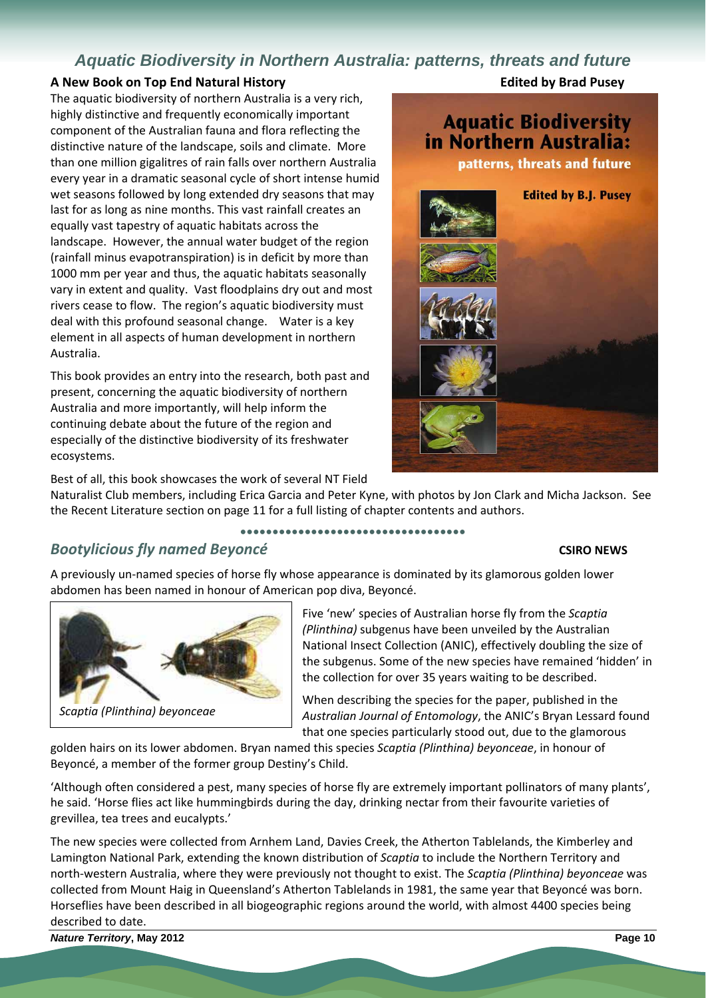# *Aquatic Biodiversity in Northern Australia: patterns, threats and future*

# **A New Book on Top End Natural History Edited by Brad Pusey**

**Edited by B.J. Pusey** 

**Aquatic Biodiversity** in Northern Australia:

patterns, threats and future

The aquatic biodiversity of northern Australia is a very rich, highly distinctive and frequently economically important component of the Australian fauna and flora reflecting the distinctive nature of the landscape, soils and climate. More than one million gigalitres of rain falls over northern Australia every year in a dramatic seasonal cycle of short intense humid wet seasons followed by long extended dry seasons that may last for as long as nine months. This vast rainfall creates an equally vast tapestry of aquatic habitats across the landscape. However, the annual water budget of the region (rainfall minus evapotranspiration) is in deficit by more than 1000 mm per year and thus, the aquatic habitats seasonally vary in extent and quality. Vast floodplains dry out and most rivers cease to flow. The region's aquatic biodiversity must deal with this profound seasonal change. Water is a key element in all aspects of human development in northern Australia.

This book provides an entry into the research, both past and present, concerning the aquatic biodiversity of northern Australia and more importantly, will help inform the continuing debate about the future of the region and especially of the distinctive biodiversity of its freshwater ecosystems.

Best of all, this book showcases the work of several NT Field

Naturalist Club members, including Erica Garcia and Peter Kyne, with photos by Jon Clark and Micha Jackson. See the Recent Literature section on page 11 for a full listing of chapter contents and authors.

**●●●●●●●●●●●●●●●●●●●●●●●●●●●●●●●●●●●**

# *Bootylicious fly named Beyoncé* **CSIRO NEWS**

A previously un‐named species of horse fly whose appearance is dominated by its glamorous golden lower abdomen has been named in honour of American pop diva, Beyoncé.

# *Scaptia (Plinthina) beyonceae*

Five 'new' species of Australian horse fly from the *Scaptia (Plinthina)* subgenus have been unveiled by the Australian National Insect Collection (ANIC), effectively doubling the size of the subgenus. Some of the new species have remained 'hidden' in the collection for over 35 years waiting to be described.

When describing the species for the paper, published in the *Australian Journal of Entomology*, the ANIC's Bryan Lessard found that one species particularly stood out, due to the glamorous

golden hairs on its lower abdomen. Bryan named this species *Scaptia (Plinthina) beyonceae*, in honour of Beyoncé, a member of the former group Destiny's Child.

'Although often considered a pest, many species of horse fly are extremely important pollinators of many plants', he said. 'Horse flies act like hummingbirds during the day, drinking nectar from their favourite varieties of grevillea, tea trees and eucalypts.'

The new species were collected from Arnhem Land, Davies Creek, the Atherton Tablelands, the Kimberley and Lamington National Park, extending the known distribution of *Scaptia* to include the Northern Territory and north‐western Australia, where they were previously not thought to exist. The *Scaptia (Plinthina) beyonceae* was collected from Mount Haig in Queensland's Atherton Tablelands in 1981, the same year that Beyoncé was born. Horseflies have been described in all biogeographic regions around the world, with almost 4400 species being described to date.